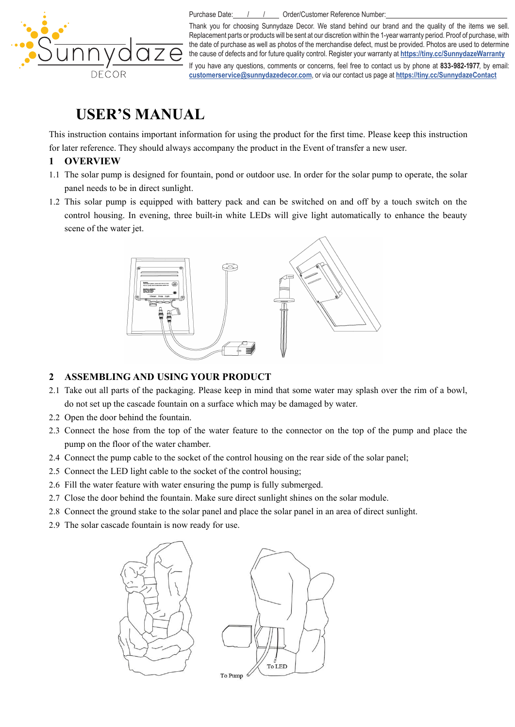

Purchase Date: / / / / Order/Customer Reference Number:

Thank you for choosing Sunnydaze Decor. We stand behind our brand and the quality of the items we sell. Replacement parts or products will be sent at our discretion within the 1-year warranty period. Proof of purchase, with the date of purchase as well as photos of the merchandise defect, must be provided. Photos are used to determine the cause of defects and for future quality control. Register your warranty at **https://tiny.cc/SunnydazeWarranty**

If you have any questions, comments or concerns, feel free to contact us by phone at **833-982-1977**, by email: **customerservice@sunnydazedecor.com**, or via our contact us page at **https://tiny.cc/SunnydazeContact**

# **USER'S MANUAL**

This instruction contains important information for using the product for the first time. Please keep this instruction for later reference. They should always accompany the product in the Event of transfer a new user.

## **1 OVERVIEW**

- 1.1 The solar pump is designed for fountain, pond or outdoor use. In order for the solar pump to operate, the solar panel needs to be in direct sunlight.
- 1.2 This solar pump is equipped with battery pack and can be switched on and off by a touch switch on the control housing. In evening, three built-in white LEDs will give light automatically to enhance the beauty scene of the water jet.



## **2 ASSEMBLING AND USING YOUR PRODUCT**

- 2.1 Take out all parts of the packaging. Please keep in mind thatsome water may splash over the rim of a bowl, do not set up the cascade fountain on a surface which may be damaged by water.
- 2.2 Open the door behind the fountain.
- 2.3 Connect the hose from the top of the water feature to the connector on the top of the pump and place the pump on the floor of the water chamber.
- 2.4 Connect the pump cable to the socket of the control housing on the rear side of the solar panel;
- 2.5 Connect the LED light cable to the socket of the control housing;
- 2.6 Fill the water feature with water ensuring the pump is fully submerged.
- 2.7 Close the door behind the fountain. Make sure direct sunlight shines on the solar module.
- 2.8 Connect the ground stake to the solar panel and place the solar panel in an area of direct sunlight.
- 2.9 The solar cascade fountain is now ready for use.

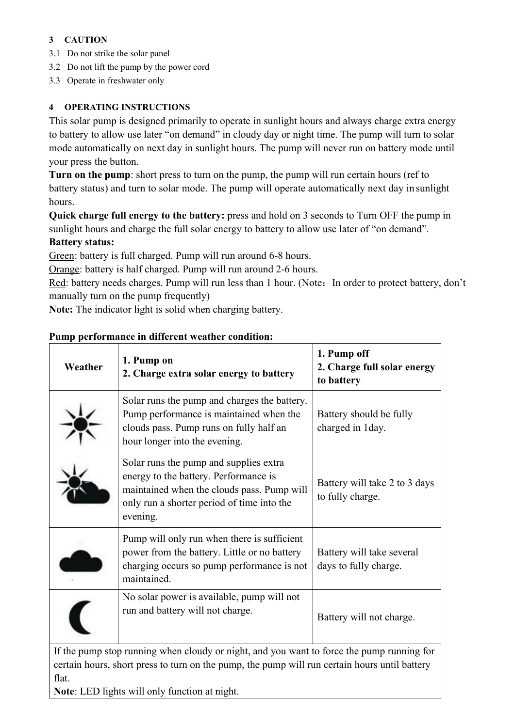# **3 CAUTION**

- 3.1 Do not strike the solar panel
- 3.2 Do not lift the pump by the power cord
- 3.3 Operate in freshwater only

# **4 OPERATING INSTRUCTIONS**

This solar pump is designed primarily to operate in sunlight hours and always charge extra energy to battery to allow use later"on demand" in cloudy day or night time. The pump will turn to solar mode automatically on next day in sunlight hours. The pump will never run on battery mode until your press the button.

**Turn on the pump**: short press to turn on the pump, the pump will run certain hours (ref to battery status) and turn to solar mode. The pump will operate automatically next day in sunlight hours.

**Quick charge full energy to the battery:** press and hold on 3 seconds to Turn OFF the pump in sunlight hours and charge the full solar energy to battery to allow use later of "on demand". **Battery status:**

Green: battery is full charged. Pump will run around 6-8 hours.

Orange: battery is half charged. Pump will run around 2-6 hours.

Red: battery needs charges. Pump will run less than 1 hour. (Note: In order to protect battery, don't manually turn on the pump frequently)

**Note:** The indicator light is solid when charging battery.

| Weather | 1. Pump on<br>2. Charge extra solar energy to battery                                                                                                                                   | 1. Pump off<br>2. Charge full solar energy<br>to battery |
|---------|-----------------------------------------------------------------------------------------------------------------------------------------------------------------------------------------|----------------------------------------------------------|
|         | Solar runs the pump and charges the battery.<br>Pump performance is maintained when the<br>clouds pass. Pump runs on fully half an<br>hour longer into the evening.                     | Battery should be fully<br>charged in 1 day.             |
|         | Solar runs the pump and supplies extra<br>energy to the battery. Performance is<br>maintained when the clouds pass. Pump will<br>only run a shorter period of time into the<br>evening. | Battery will take 2 to 3 days<br>to fully charge.        |
|         | Pump will only run when there is sufficient<br>power from the battery. Little or no battery<br>charging occurs so pump performance is not<br>maintained.                                | Battery will take several<br>days to fully charge.       |
|         | No solar power is available, pump will not<br>run and battery will not charge.                                                                                                          | Battery will not charge.                                 |

## **Pump performance in different weather condition:**

certain hours, short press to turn on the pump, the pump will run certain hours untilbattery flat.

**Note**: LED lights will only function at night.